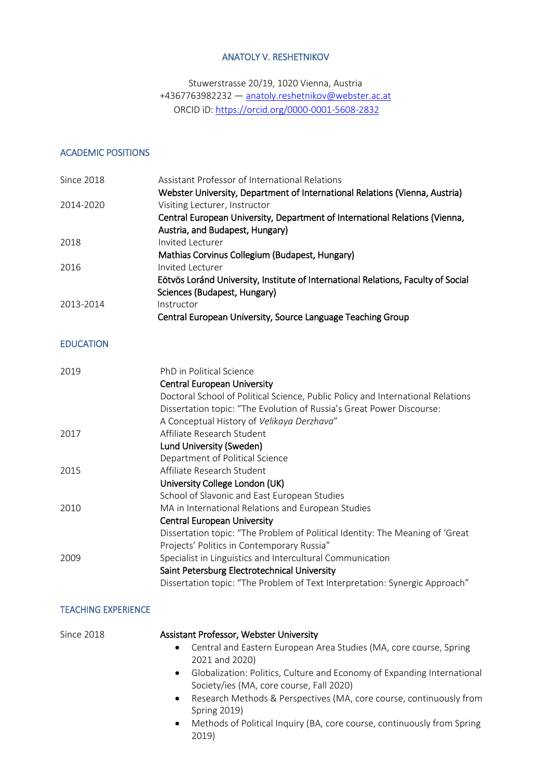## ANATOLY V. RESHETNIKOV

Stuwerstrasse 20/19, 1020 Vienna, Austria +4367763982232 ― anatoly[.reshetnikov@webster.ac.at](mailto:reshetnikov@webster.ac.at) ORCID iD:<https://orcid.org/0000-0001-5608-2832>

## ACADEMIC POSITIONS

| Since 2018 | Assistant Professor of International Relations                                    |
|------------|-----------------------------------------------------------------------------------|
|            | Webster University, Department of International Relations (Vienna, Austria)       |
| 2014-2020  | Visiting Lecturer, Instructor                                                     |
|            | Central European University, Department of International Relations (Vienna,       |
|            | Austria, and Budapest, Hungary)                                                   |
| 2018       | Invited Lecturer                                                                  |
|            | Mathias Corvinus Collegium (Budapest, Hungary)                                    |
| 2016       | Invited Lecturer                                                                  |
|            | Eötvös Loránd University, Institute of International Relations, Faculty of Social |
|            | Sciences (Budapest, Hungary)                                                      |
| 2013-2014  | Instructor                                                                        |
|            | Central European University, Source Language Teaching Group                       |

### EDUCATION

| 2019 | PhD in Political Science<br><b>Central European University</b><br>Doctoral School of Political Science, Public Policy and International Relations<br>Dissertation topic: "The Evolution of Russia's Great Power Discourse:<br>A Conceptual History of Velikaya Derzhava" |
|------|--------------------------------------------------------------------------------------------------------------------------------------------------------------------------------------------------------------------------------------------------------------------------|
| 2017 | Affiliate Research Student                                                                                                                                                                                                                                               |
|      | Lund University (Sweden)                                                                                                                                                                                                                                                 |
|      | Department of Political Science                                                                                                                                                                                                                                          |
| 2015 | Affiliate Research Student                                                                                                                                                                                                                                               |
|      | University College London (UK)                                                                                                                                                                                                                                           |
|      | School of Slavonic and East European Studies                                                                                                                                                                                                                             |
| 2010 | MA in International Relations and European Studies                                                                                                                                                                                                                       |
|      | <b>Central European University</b>                                                                                                                                                                                                                                       |
|      | Dissertation topic: "The Problem of Political Identity: The Meaning of 'Great                                                                                                                                                                                            |
|      | Projects' Politics in Contemporary Russia"                                                                                                                                                                                                                               |
| 2009 | Specialist in Linguistics and Intercultural Communication                                                                                                                                                                                                                |
|      | Saint Petersburg Electrotechnical University                                                                                                                                                                                                                             |
|      | Dissertation topic: "The Problem of Text Interpretation: Synergic Approach"                                                                                                                                                                                              |

### TEACHING EXPERIENCE

| Since 2018 | Assistant Professor, Webster University<br>Central and Eastern European Area Studies (MA, core course, Spring<br>$\bullet$       |
|------------|----------------------------------------------------------------------------------------------------------------------------------|
|            | 2021 and 2020)                                                                                                                   |
|            | Globalization: Politics, Culture and Economy of Expanding International<br>$\bullet$<br>Society/ies (MA, core course, Fall 2020) |
|            | Research Methods & Perspectives (MA, core course, continuously from<br>$\bullet$<br><b>Spring 2019)</b>                          |
|            | Methods of Political Inquiry (BA, core course, continuously from Spring<br>$\bullet$<br>2019)                                    |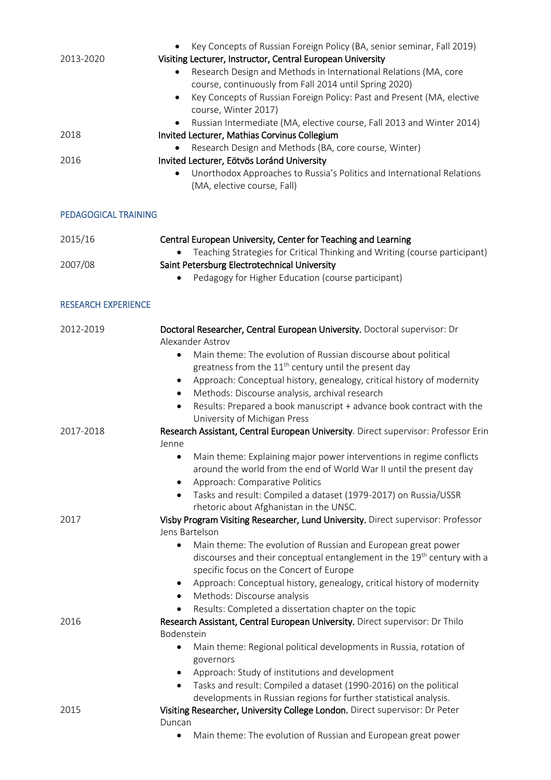| 2013-2020                  | Key Concepts of Russian Foreign Policy (BA, senior seminar, Fall 2019)<br>$\bullet$<br>Visiting Lecturer, Instructor, Central European University<br>Research Design and Methods in International Relations (MA, core<br>$\bullet$<br>course, continuously from Fall 2014 until Spring 2020)<br>Key Concepts of Russian Foreign Policy: Past and Present (MA, elective<br>$\bullet$<br>course, Winter 2017)<br>Russian Intermediate (MA, elective course, Fall 2013 and Winter 2014)<br>$\bullet$ |
|----------------------------|---------------------------------------------------------------------------------------------------------------------------------------------------------------------------------------------------------------------------------------------------------------------------------------------------------------------------------------------------------------------------------------------------------------------------------------------------------------------------------------------------|
| 2018                       | Invited Lecturer, Mathias Corvinus Collegium<br>Research Design and Methods (BA, core course, Winter)                                                                                                                                                                                                                                                                                                                                                                                             |
| 2016                       | Invited Lecturer, Eötvös Loránd University<br>Unorthodox Approaches to Russia's Politics and International Relations<br>(MA, elective course, Fall)                                                                                                                                                                                                                                                                                                                                               |
| PEDAGOGICAL TRAINING       |                                                                                                                                                                                                                                                                                                                                                                                                                                                                                                   |
| 2015/16                    | Central European University, Center for Teaching and Learning<br>Teaching Strategies for Critical Thinking and Writing (course participant)                                                                                                                                                                                                                                                                                                                                                       |
| 2007/08                    | Saint Petersburg Electrotechnical University<br>Pedagogy for Higher Education (course participant)                                                                                                                                                                                                                                                                                                                                                                                                |
| <b>RESEARCH EXPERIENCE</b> |                                                                                                                                                                                                                                                                                                                                                                                                                                                                                                   |
| 2012-2019                  | Doctoral Researcher, Central European University. Doctoral supervisor: Dr<br>Alexander Astrov<br>Main theme: The evolution of Russian discourse about political<br>$\bullet$<br>greatness from the $11th$ century until the present day<br>Approach: Conceptual history, genealogy, critical history of modernity<br>$\bullet$<br>Methods: Discourse analysis, archival research<br>Results: Prepared a book manuscript + advance book contract with the<br>University of Michigan Press          |
| 2017-2018                  | Research Assistant, Central European University. Direct supervisor: Professor Erin<br>Jenne<br>Main theme: Explaining major power interventions in regime conflicts<br>around the world from the end of World War II until the present day<br>Approach: Comparative Politics<br>Tasks and result: Compiled a dataset (1979-2017) on Russia/USSR<br>rhetoric about Afghanistan in the UNSC.                                                                                                        |
| 2017                       | Visby Program Visiting Researcher, Lund University. Direct supervisor: Professor<br>Jens Bartelson<br>Main theme: The evolution of Russian and European great power<br>discourses and their conceptual entanglement in the 19 <sup>th</sup> century with a<br>specific focus on the Concert of Europe<br>Approach: Conceptual history, genealogy, critical history of modernity<br>Methods: Discourse analysis<br>Results: Completed a dissertation chapter on the topic                          |
| 2016                       | Research Assistant, Central European University. Direct supervisor: Dr Thilo<br>Bodenstein<br>Main theme: Regional political developments in Russia, rotation of<br>$\bullet$<br>governors<br>Approach: Study of institutions and development<br>Tasks and result: Compiled a dataset (1990-2016) on the political<br>developments in Russian regions for further statistical analysis.                                                                                                           |
| 2015                       | Visiting Researcher, University College London. Direct supervisor: Dr Peter<br>Duncan<br>Main theme: The evolution of Russian and European great power<br>٠                                                                                                                                                                                                                                                                                                                                       |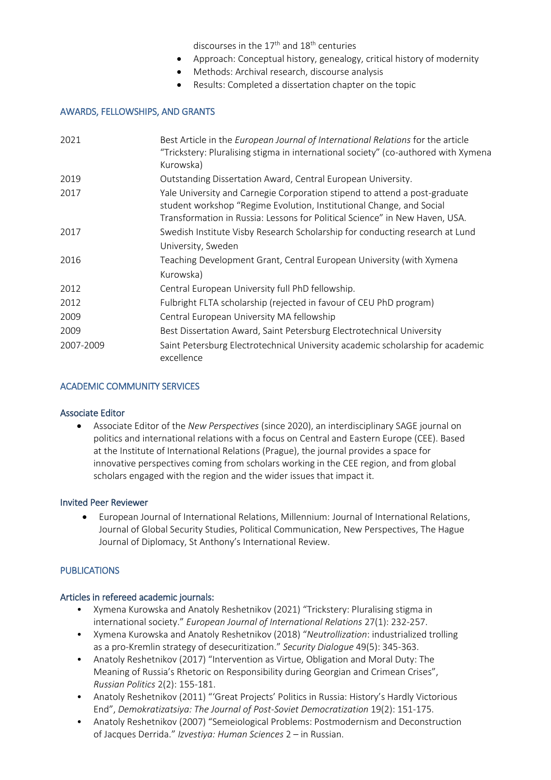discourses in the 17<sup>th</sup> and 18<sup>th</sup> centuries

- Approach: Conceptual history, genealogy, critical history of modernity
- Methods: Archival research, discourse analysis
- Results: Completed a dissertation chapter on the topic

## AWARDS, FELLOWSHIPS, AND GRANTS

| 2021      | Best Article in the European Journal of International Relations for the article<br>"Trickstery: Pluralising stigma in international society" (co-authored with Xymena<br>Kurowska)                                                |
|-----------|-----------------------------------------------------------------------------------------------------------------------------------------------------------------------------------------------------------------------------------|
| 2019      | Outstanding Dissertation Award, Central European University.                                                                                                                                                                      |
| 2017      | Yale University and Carnegie Corporation stipend to attend a post-graduate<br>student workshop "Regime Evolution, Institutional Change, and Social<br>Transformation in Russia: Lessons for Political Science" in New Haven, USA. |
| 2017      | Swedish Institute Visby Research Scholarship for conducting research at Lund                                                                                                                                                      |
|           | University, Sweden                                                                                                                                                                                                                |
| 2016      | Teaching Development Grant, Central European University (with Xymena                                                                                                                                                              |
|           | Kurowska)                                                                                                                                                                                                                         |
| 2012      | Central European University full PhD fellowship.                                                                                                                                                                                  |
| 2012      | Fulbright FLTA scholarship (rejected in favour of CEU PhD program)                                                                                                                                                                |
| 2009      | Central European University MA fellowship                                                                                                                                                                                         |
| 2009      | Best Dissertation Award, Saint Petersburg Electrotechnical University                                                                                                                                                             |
| 2007-2009 | Saint Petersburg Electrotechnical University academic scholarship for academic<br>excellence                                                                                                                                      |

### ACADEMIC COMMUNITY SERVICES

### Associate Editor

 Associate Editor of the *New Perspectives* (since 2020), an interdisciplinary SAGE journal on politics and international relations with a focus on Central and Eastern Europe (CEE). Based at the Institute of International Relations (Prague), the journal provides a space for innovative perspectives coming from scholars working in the CEE region, and from global scholars engaged with the region and the wider issues that impact it.

### Invited Peer Reviewer

 European Journal of International Relations, Millennium: Journal of International Relations, Journal of Global Security Studies, Political Communication, New Perspectives, The Hague Journal of Diplomacy, St Anthony's International Review.

# PUBLICATIONS

### Articles in refereed academic journals:

- Xymena Kurowska and Anatoly Reshetnikov (2021) "Trickstery: Pluralising stigma in international society." *European Journal of International Relations* 27(1): 232-257.
- Xymena Kurowska and Anatoly Reshetnikov (2018) "*Neutrollization*: industrialized trolling as a pro-Kremlin strategy of desecuritization." *Security Dialogue* 49(5): 345-363.
- Anatoly Reshetnikov (2017) "Intervention as Virtue, Obligation and Moral Duty: The Meaning of Russia's Rhetoric on Responsibility during Georgian and Crimean Crises", *Russian Politics* 2(2): 155-181.
- Anatoly Reshetnikov (2011) "'Great Projects' Politics in Russia: History's Hardly Victorious End", *Demokratizatsiya: The Journal of Post-Soviet Democratization* 19(2): 151-175.
- Anatoly Reshetnikov (2007) "Semeiological Problems: Postmodernism and Deconstruction of Jacques Derrida." *Izvestiya: Human Sciences* 2 – in Russian.